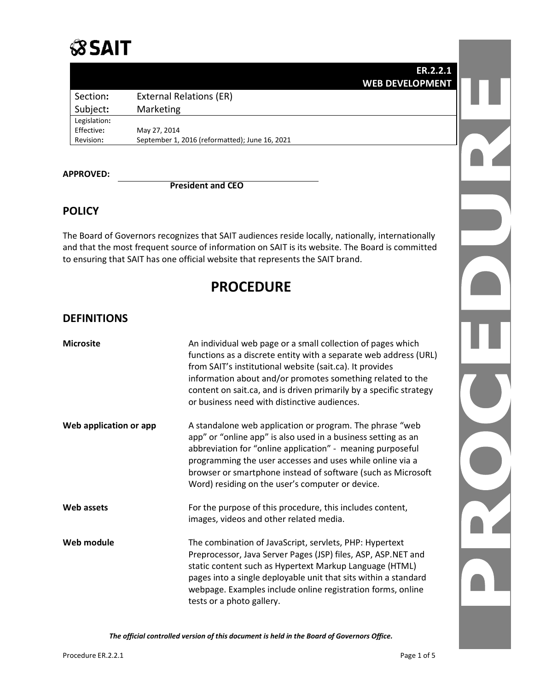# **SSAIT**

|              |                                                | ER.2.2.1               |  |
|--------------|------------------------------------------------|------------------------|--|
|              |                                                | <b>WEB DEVELOPMENT</b> |  |
| Section:     | <b>External Relations (ER)</b>                 |                        |  |
| Subject:     | Marketing                                      |                        |  |
| Legislation: |                                                |                        |  |
| Effective:   | May 27, 2014                                   |                        |  |
| Revision:    | September 1, 2016 (reformatted); June 16, 2021 |                        |  |
|              |                                                |                        |  |

#### **APPROVED:**

**President and CEO**

# **POLICY**

The Board of Governors recognizes that SAIT audiences reside locally, nationally, internationally and that the most frequent source of information on SAIT is its website. The Board is committed to ensuring that SAIT has one official website that represents the SAIT brand.

# **PROCEDURE**

# **DEFINITIONS**

| <b>Microsite</b>       | An individual web page or a small collection of pages which<br>functions as a discrete entity with a separate web address (URL)<br>from SAIT's institutional website (sait.ca). It provides<br>information about and/or promotes something related to the<br>content on sait.ca, and is driven primarily by a specific strategy<br>or business need with distinctive audiences. |
|------------------------|---------------------------------------------------------------------------------------------------------------------------------------------------------------------------------------------------------------------------------------------------------------------------------------------------------------------------------------------------------------------------------|
| Web application or app | A standalone web application or program. The phrase "web<br>app" or "online app" is also used in a business setting as an<br>abbreviation for "online application" - meaning purposeful<br>programming the user accesses and uses while online via a<br>browser or smartphone instead of software (such as Microsoft<br>Word) residing on the user's computer or device.        |
| Web assets             | For the purpose of this procedure, this includes content,<br>images, videos and other related media.                                                                                                                                                                                                                                                                            |
| Web module             | The combination of JavaScript, servlets, PHP: Hypertext<br>Preprocessor, Java Server Pages (JSP) files, ASP, ASP.NET and<br>static content such as Hypertext Markup Language (HTML)<br>pages into a single deployable unit that sits within a standard<br>webpage. Examples include online registration forms, online<br>tests or a photo gallery.                              |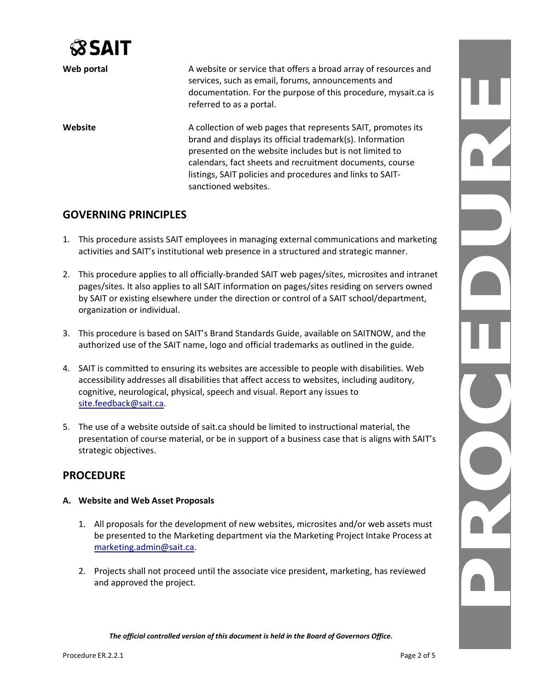

# **GOVERNING PRINCIPLES**

- 1. This procedure assists SAIT employees in managing external communications and marketing activities and SAIT's institutional web presence in a structured and strategic manner.
- 2. This procedure applies to all officially-branded SAIT web pages/sites, microsites and intranet pages/sites. It also applies to all SAIT information on pages/sites residing on servers owned by SAIT or existing elsewhere under the direction or control of a SAIT school/department, organization or individual.
- 3. This procedure is based on SAIT's Brand Standards Guide, available on SAITNOW, and the authorized use of the SAIT name, logo and official trademarks as outlined in the guide.
- 4. SAIT is committed to ensuring its websites are accessible to people with disabilities. Web accessibility addresses all disabilities that affect access to websites, including auditory, cognitive, neurological, physical, speech and visual. Report any issues to [site.feedback@sait.ca.](mailto:site.feedback@sait.ca)
- 5. The use of a website outside of sait.ca should be limited to instructional material, the presentation of course material, or be in support of a business case that is aligns with SAIT's strategic objectives.

### **PROCEDURE**

#### **A. Website and Web Asset Proposals**

- 1. All proposals for the development of new websites, microsites and/or web assets must be presented to the Marketing department via the Marketing Project Intake Process at [marketing.admin@sait.ca.](mailto:marketing.admin@sait.ca)
- 2. Projects shall not proceed until the associate vice president, marketing, has reviewed and approved the project.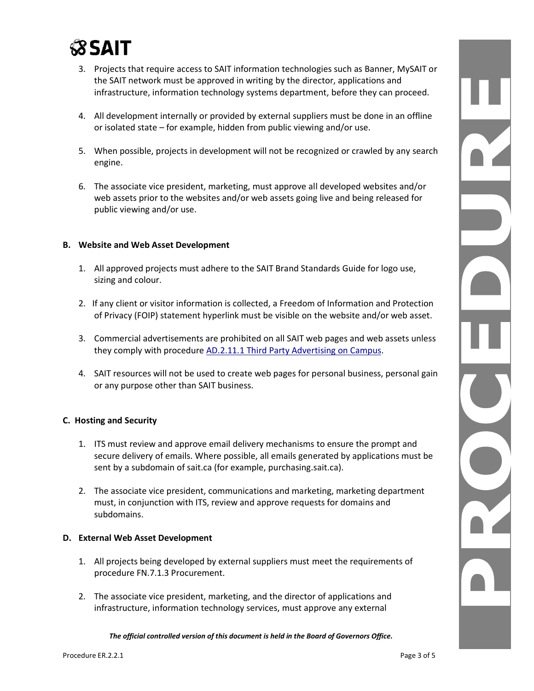

- 3. Projects that require access to SAIT information technologies such as Banner, MySAIT or the SAIT network must be approved in writing by the director, applications and infrastructure, information technology systems department, before they can proceed.
- 4. All development internally or provided by external suppliers must be done in an offline or isolated state – for example, hidden from public viewing and/or use.
- 5. When possible, projects in development will not be recognized or crawled by any search engine.
- 6. The associate vice president, marketing, must approve all developed websites and/or web assets prior to the websites and/or web assets going live and being released for public viewing and/or use.

#### **B. Website and Web Asset Development**

- 1. All approved projects must adhere to the SAIT Brand Standards Guide for logo use, sizing and colour.
- 2. If any client or visitor information is collected, a Freedom of Information and Protection of Privacy (FOIP) statement hyperlink must be visible on the website and/or web asset.
- 3. Commercial advertisements are prohibited on all SAIT web pages and web assets unless they comply with procedure AD.2.11.1 [Third Party Advertising on Campus.](https://www.sait.ca/assets/documents/about-sait/policies-and-procedures/administration/ad-2-11-1-third-party-advertising.pdf)
- 4. SAIT resources will not be used to create web pages for personal business, personal gain or any purpose other than SAIT business.

#### **C. Hosting and Security**

- 1. ITS must review and approve email delivery mechanisms to ensure the prompt and secure delivery of emails. Where possible, all emails generated by applications must be sent by a subdomain of sait.ca (for example, purchasing.sait.ca).
- 2. The associate vice president, communications and marketing, marketing department must, in conjunction with ITS, review and approve requests for domains and subdomains.

#### **D. External Web Asset Development**

- 1. All projects being developed by external suppliers must meet the requirements of procedure FN.7.1.3 Procurement.
- 2. The associate vice president, marketing, and the director of applications and infrastructure, information technology services, must approve any external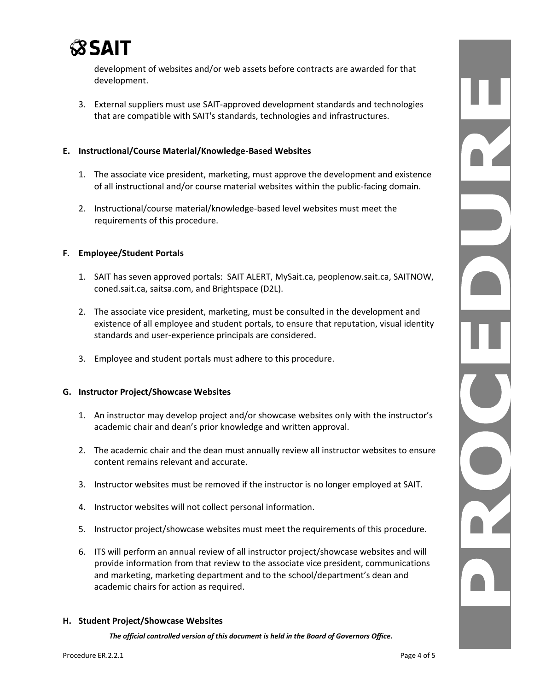

development of websites and/or web assets before contracts are awarded for that development.

3. External suppliers must use SAIT-approved development standards and technologies that are compatible with SAIT's standards, technologies and infrastructures.

#### **E. Instructional/Course Material/Knowledge-Based Websites**

- 1. The associate vice president, marketing, must approve the development and existence of all instructional and/or course material websites within the public-facing domain.
- 2. Instructional/course material/knowledge-based level websites must meet the requirements of this procedure.

#### **F. Employee/Student Portals**

- 1. SAIT has seven approved portals: SAIT ALERT, MySait.ca, peoplenow.sait.ca, SAITNOW, coned.sait.ca, saitsa.com, and Brightspace (D2L).
- 2. The associate vice president, marketing, must be consulted in the development and existence of all employee and student portals, to ensure that reputation, visual identity standards and user-experience principals are considered.
- 3. Employee and student portals must adhere to this procedure.

#### **G. Instructor Project/Showcase Websites**

- 1. An instructor may develop project and/or showcase websites only with the instructor's academic chair and dean's prior knowledge and written approval.
- 2. The academic chair and the dean must annually review all instructor websites to ensure content remains relevant and accurate.
- 3. Instructor websites must be removed if the instructor is no longer employed at SAIT.
- 4. Instructor websites will not collect personal information.
- 5. Instructor project/showcase websites must meet the requirements of this procedure.
- 6. ITS will perform an annual review of all instructor project/showcase websites and will provide information from that review to the associate vice president, communications and marketing, marketing department and to the school/department's dean and academic chairs for action as required.

#### **H. Student Project/Showcase Websites**

*The official controlled version of this document is held in the Board of Governors Office.*